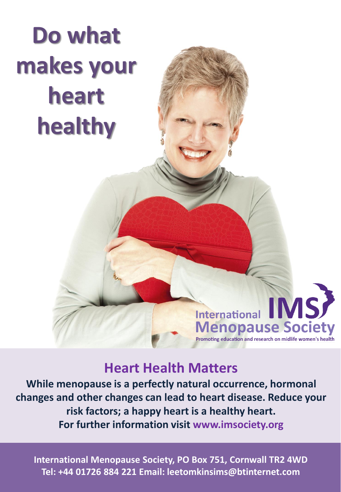# **Do what makes your heart healthy**

# **Heart Health Matters**

International IMS

**Menopause Society** Promoting education and research on midlife women's health

**While menopause is a perfectly natural occurrence, hormonal changes and other changes can lead to heart disease. Reduce your risk factors; a happy heart is a healthy heart. For further information visit www.imsociety.org**

**International Menopause Society, PO Box 751, Cornwall TR2 4WD Tel: +44 01726 884 221 Email: leetomkinsims@btinternet.com**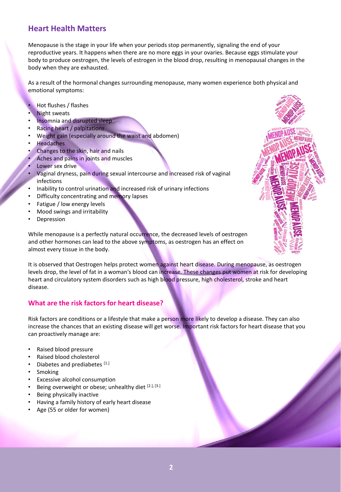# **Heart Health Matters**

Menopause is the stage in your life when your periods stop permanently, signaling the end of your reproductive years. It happens when there are no more eggs in your ovaries. Because eggs stimulate your body to produce oestrogen, the levels of estrogen in the blood drop, resulting in menopausal changes in the body when they are exhausted.

As a result of the hormonal changes surrounding menopause, many women experience both physical and emotional symptoms:

- Hot flushes / flashes
- **Night sweats**
- Insomnia and disrupted sleep
- Racing heart / palpitations
- Weight gain (especially around the waist and abdomen)
- **Headaches**
- Changes to the skin, hair and nails
- Aches and pains in joints and muscles
- Lower sex drive
- Vaginal dryness, pain during sexual intercourse and increased risk of vaginal infections
- Inability to control urination and increased risk of urinary infections
- Difficulty concentrating and memory lapses
- Fatigue / low energy levels
- Mood swings and irritability
- **Depression**

While menopause is a perfectly natural occurrence, the decreased levels of oestrogen and other hormones can lead to the above symptoms, as oestrogen has an effect on almost every tissue in the body.

It is observed that Oestrogen helps protect women against heart disease. During menopause, as oestrogen levels drop, the level of fat in a woman's blood can increase. These changes put women at risk for developing heart and circulatory system disorders such as high blood pressure, high cholesterol, stroke and heart disease.

# **What are the risk factors for heart disease?**

Risk factors are conditions or a lifestyle that make a person more likely to develop a disease. They can also increase the chances that an existing disease will get worse. Important risk factors for heart disease that you can proactively manage are:

- Raised blood pressure
- Raised blood cholesterol
- Diabetes and prediabetes [1.]
- **Smoking**
- Excessive alcohol consumption
- Being overweight or obese; unhealthy diet [2.], [3.]
- Being physically inactive
- Having a family history of early heart disease
- Age (55 or older for women)

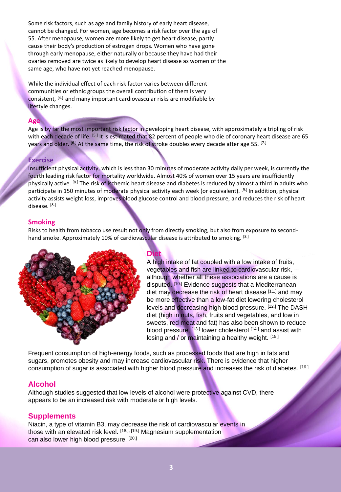Some risk factors, such as age and family history of early heart disease, cannot be changed. For women, age becomes a risk factor over the age of 55. After menopause, women are more likely to get heart disease, partly cause their body's production of estrogen drops. Women who have gone through early menopause, either naturally or because they have had their ovaries removed are twice as likely to develop heart disease as women of the same age, who have not yet reached menopause.

While the individual effect of each risk factor varies between different communities or ethnic groups the overall contribution of them is very consistent, [4.] and many important cardiovascular risks are modifiable by lifestyle changes.

## **Age**

Age is by far the most important risk factor in developing heart disease, with approximately a tripling of risk with each decade of life. <sup>[5.]</sup> It is estimated that 82 percent of people who die of coronary heart disease are 65 years and older. [6.] At the same time, the risk of stroke doubles every decade after age 55. [7.]

#### **Exercise**

Insufficient physical activity, which is less than 30 minutes of moderate activity daily per week, is currently the fourth leading risk factor for mortality worldwide. Almost 40% of women over 15 years are insufficiently physically active. [8.] The risk of ischemic heart disease and diabetes is reduced by almost a third in adults who participate in 150 minutes of moderate physical activity each week (or equivalent). [9.] In addition, physical activity assists weight loss, improves blood glucose control and blood pressure, and reduces the risk of heart disease. [8.]

## **Smoking**

Risks to health from tobacco use result not only from directly smoking, but also from exposure to secondhand smoke. Approximately 10% of cardiovascular disease is attributed to smoking. <sup>[8.]</sup>



**Diet** A high intake of fat coupled with a low intake of fruits, vegetables and fish are linked to cardiovascular risk, although whether all these associations are a cause is disputed. <sup>[10.]</sup> Evidence suggests that a Mediterranean diet may decrease the risk of heart disease [11.] and may be more effective than a low-fat diet lowering cholesterol levels and decreasing high blood pressure. [12.] The DASH diet (high in nuts, fish, fruits and vegetables, and low in sweets, red meat and fat) has also been shown to reduce blood pressure, <a>[13.]</a> lower cholesterol</a>[14.]</a> and assist with losing and / or maintaining a healthy weight. [15.]

Frequent consumption of high-energy foods, such as processed foods that are high in fats and sugars, promotes obesity and may increase cardiovascular risk. There is evidence that higher consumption of sugar is associated with higher blood pressure and increases the risk of diabetes. [16.]

# **Alcohol**

Although studies suggested that low levels of alcohol were protective against CVD, there appears to be an increased risk with moderate or high levels.

# **Supplements**

Niacin, a type of vitamin B3, may decrease the risk of cardiovascular events in those with an elevated risk level. [18.], [19.] Magnesium supplementation can also lower high blood pressure. [20.]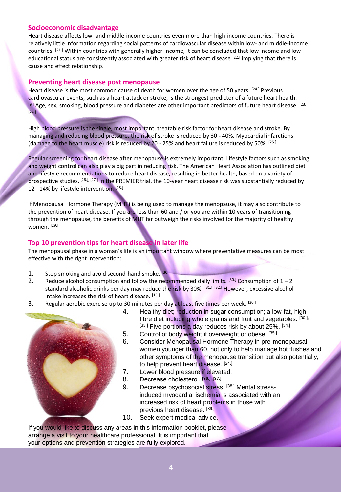#### **Socioeconomic disadvantage**

Heart disease affects low- and middle-income countries even more than high-income countries. There is relatively little information regarding social patterns of cardiovascular disease within low- and middle-income countries. [21.] Within countries with generally higher-income, it can be concluded that low income and low educational status are consistently associated with greater risk of heart disease [22.] implying that there is cause and effect relationship.

#### **Preventing heart disease post menopause**

Heart disease is the most common cause of death for women over the age of 50 years. <sup>[24.]</sup> Previous cardiovascular events, such as a heart attack or stroke, is the strongest predictor of a future heart health. [9.] Age, sex, smoking, blood pressure and diabetes are other important predictors of future heart disease. [23.],  $[24.]$ 

High blood pressure is the single, most important, treatable risk factor for heart disease and stroke. By managing and reducing blood pressure, the risk of stroke is reduced by 30 **-** 40%. Myocardial infarctions (damage to the heart muscle) risk is reduced by 20 - 25% and heart failure is reduced by 50%. [25.]

Regular screening for heart disease after menopause is extremely important. Lifestyle factors such as smoking and weight control can also play a big part in reducing risk. The American Heart Association has outlined diet and lifestyle recommendations to reduce heart disease, resulting in better health, based on a variety of prospective studies. <sup>[26.], [27.]</sup> In the PREMIER trial, the 10-year heart disease risk was substantially reduced by 12 - 14% by lifestyle intervention.<sup>[28.]</sup>

If Menopausal Hormone Therapy (MHT) is being used to manage the menopause, it may also contribute to the prevention of heart disease. If you are less than 60 and / or you are within 10 years of transitioning through the menopause, the benefits of MHT far outweigh the risks involved for the majority of healthy women. [29.]

#### **Top 10 prevention tips for heart disease in later life**

The menopausal phase in a woman's life is an important window where preventative measures can be most effective with the right intervention:

- 1. Stop smoking and avoid second-hand smoke. [30.]
- 2. Reduce alcohol consumption and follow the recommended daily limits.  $^{[30.]}$  Consumption of  $1 2$ standard alcoholic drinks per day may reduce the risk by 30%. [31.], [32.] However, excessive alcohol intake increases the risk of heart disease. [15.]
- 3. Regular aerobic exercise up to 30 minutes per day at least five times per week. [30.]



- 4. Healthy diet; reduction in sugar consumption; a low-fat, highfibre diet including whole grains and fruit and vegetables. [30.], [33.] Five portions a day reduces risk by about 25%. [34.]
- 5. Control of body weight if overweight or obese. [35.]
- 6. Consider Menopausal Hormone Therapy in pre-menopausal women younger than 60, not only to help manage hot flushes and other symptoms of the menopause transition but also potentially, to help prevent heart disease. [24.]
- 7. Lower blood pressure if elevated.
- 8. Decrease cholesterol. [36.], [37.]
- 9. Decrease psychosocial stress. [38.] Mental stressinduced myocardial ischemia is associated with an increased risk of heart problems in those with previous heart disease. [39.]
- 10. Seek expert medical advice.

If you would like to discuss any areas in this information booklet, please arrange a visit to your healthcare professional. It is important that your options and prevention strategies are fully explored.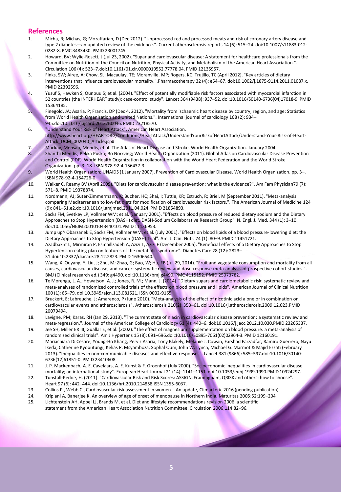#### **References**

- 1. Micha, R; Michas, G; Mozaffarian, D (Dec 2012). "Unprocessed red and processed meats and risk of coronary artery disease and type 2 diabetes—an updated review of the evidence.". Current atherosclerosis reports 14 (6): 515–24. doi:10.1007/s11883-012- 0282-8. PMC 3483430. PMID 23001745.
- 2. Howard, BV; Wylie-Rosett, J (Jul 23, 2002). "Sugar and cardiovascular disease: A statement for healthcare professionals from the Committee on Nutrition of the Council on Nutrition, Physical Activity, and Metabolism of the American Heart Association.". Circulation 106 (4): 523–7.doi:10.1161/01.cir.0000019552.77778.04. PMID 12135957.
- 3. Finks, SW; Airee, A; Chow, SL; Macaulay, TE; Moranville, MP; Rogers, KC; Trujillo, TC (April 2012). "Key articles of dietary interventions that influence cardiovascular mortality.".Pharmacotherapy 32 (4): e54–87. doi:10.1002/j.1875-9114.2011.01087.x. PMID 22392596.
- 4. Yusuf S, Hawken S, Ounpuu S; et al. (2004). "Effect of potentially modifiable risk factors associated with myocardial infarction in 52 countries (the INTERHEART study): case-control study". Lancet 364 (9438): 937–52. doi:10.1016/S0140-6736(04)17018-9. PMID 15364185.
- 5. Finegold, JA; Asaria, P; Francis, DP (Dec 4, 2012). "Mortality from ischaemic heart disease by country, region, and age: Statistics from World Health Organisation and United Nations.". International journal of cardiology 168 (2): 934– 945.doi:10.1016/j.ijcard.2012.10.046. PMID 23218570.
- 6. "Understand Your Risk of Heart Attack". American Heart Association. http://www.heart.org/HEARTORG/Conditions/HeartAttack/UnderstandYourRiskofHeartAttack/Understand-Your-Risk-of-Heart-Attack\_UCM\_002040\_Article.jsp#
- 7. Mackay, Mensah, Mendis, et al. The Atlas of Heart Disease and Stroke. World Health Organization. January 2004.
- 8. Shanthi Mendis; Pekka Puska; Bo Norrving; World Health Organization (2011). Global Atlas on Cardiovascular Disease Prevention and Control (PDF). World Health Organization in collaboration with the World Heart Federation and the World Stroke Organization. pp. 3–18. ISBN 978-92-4-156437-3.
- 9. World Health Organization; UNAIDS (1 January 2007). Prevention of Cardiovascular Disease. World Health Organization. pp. 3–. ISBN 978-92-4-154726-0.
- 10. Walker C, Reamy BV (April 2009). "Diets for cardiovascular disease prevention: what is the evidence?". Am Fam Physician79 (7): 571–8. PMID 19378874.
- 11. Nordmann, AJ; Suter-Zimmermann, K; Bucher, HC; Shai, I; Tuttle, KR; Estruch, R; Briel, M (September 2011). "Meta-analysis comparing Mediterranean to low-fat diets for modification of cardiovascular risk factors.". The American Journal of Medicine 124 (9): 841–51.e2.doi:10.1016/j.amjmed.2011.04.024. PMID 21854893.
- 12. Sacks FM, Svetkey LP, Vollmer WM; et al. (January 2001). "Effects on blood pressure of reduced dietary sodium and the Dietary Approaches to Stop Hypertension (DASH) diet. DASH-Sodium Collaborative Research Group". N. Engl. J. Med. 344 (1): 3–10. doi:10.1056/NEJM200101043440101.PMID 11136953.
- 13. Jump up^ Obarzanek E, Sacks FM, Vollmer WM; et al. (July 2001). "Effects on blood lipids of a blood pressure-lowering diet: the Dietary Approaches to Stop Hypertension (DASH) Trial". Am. J. Clin. Nutr. 74 (1): 80–9. PMID 11451721.
- 14. Azadbakht L, Mirmiran P, Esmaillzadeh A, Azizi T, Azizi F (December 2005). "Beneficial effects of a Dietary Approaches to Stop Hypertension eating plan on features of the metabolic syndrome". Diabetes Care 28 (12): 2823– 31.doi:10.2337/diacare.28.12.2823. PMID 16306540.
- 15. Wang, X; Ouyang, Y; Liu, J; Zhu, M; Zhao, G; Bao, W; Hu, FB (Jul 29, 2014). "Fruit and vegetable consumption and mortality from all causes, cardiovascular disease, and cancer: systematic review and dose-response meta-analysis of prospective cohort studies.". BMJ (Clinical research ed.) 349: g4490. doi:10.1136/bmj.g4490. PMC 4115152. PMID 25073782.
- 16. Te Morenga, L. A.; Howatson, A. J.; Jones, R. M.; Mann, J. (2014). "Dietary sugars and cardiometabolic risk: systematic review and meta-analyses of randomized controlled trials of the effects on blood pressure and lipids". American Journal of Clinical Nutrition 100 (1): 65–79. doi:10.3945/ajcn.113.081521. ISSN 0002-9165
- 17. Bruckert, E; Labreuche, J; Amarenco, P (June 2010). "Meta-analysis of the effect of nicotinic acid alone or in combination on cardiovascular events and atherosclerosis". Atherosclerosis 210(2): 353–61. doi:10.1016/j.atherosclerosis.2009.12.023.PMID 20079494.
- 18. Lavigne, PM; Karas, RH (Jan 29, 2013). "The current state of niacin in cardiovascular disease prevention: a systematic review and meta-regression.". Journal of the American College of Cardiology 61 (4): 440–6. doi:10.1016/j.jacc.2012.10.030.PMID 23265337.
- 19. Jee SH, Miller ER III, Guallar E; et al. (2002). "The effect of magnesium supplementation on blood pressure: a meta-analysis of randomized clinical trials". Am J Hypertens 15 (8): 691–696.doi:10.1016/S0895-7061(02)02964-3. PMID 12160191.
- 20. Mariachiara Di Cesare, Young-Ho Khang, Perviz Asaria, Tony Blakely, Melanie J. Cowan, Farshad Farzadfar, Ramiro Guerrero, Nayu Ikeda, Catherine Kyobutungi, Kelias P. Msyamboza, Sophal Oum, John W. Lynch, Michael G. Marmot & Majid Ezzati (February 2013). "Inequalities in non-communicable diseases and effective responses". Lancet 381 (9866): 585–597.doi:10.1016/S0140- 6736(12)61851-0. PMID 23410608.
- 21. J. P. Mackenbach, A. E. Cavelaars, A. E. Kunst & F. Groenhof (July 2000). "Socioeconomic inequalities in cardiovascular disease mortality; an international study". European Heart Journal 21 (14): 1141–1151. doi:10.1053/euhj.1999.1990.PMID 10924297.
- 22. Tunstall-Pedoe, H. (2011). "Cardiovascular Risk and Risk Scores: ASSIGN, Framingham, QRISK and others: how to choose". Heart 97 (6): 442–444. doi:10.1136/hrt.2010.214858.ISSN 1355-6037.
- 23. Collins P., Webb C., Cardiovascular risk assessment in women An update, Climacteric 2016 (pending publication)
- 24. Kriplani A, Banerjee K. An overview of age of onset of menopause in Northern India. Maturitas 2005;52:199–204 25. Lichtenstein AH, Appel LJ, Brands M, et al. Diet and lifestyle recommendations revision 2006: a scientific
- statement from the American Heart Association Nutrition Committee. Circulation 2006;114:82–96.